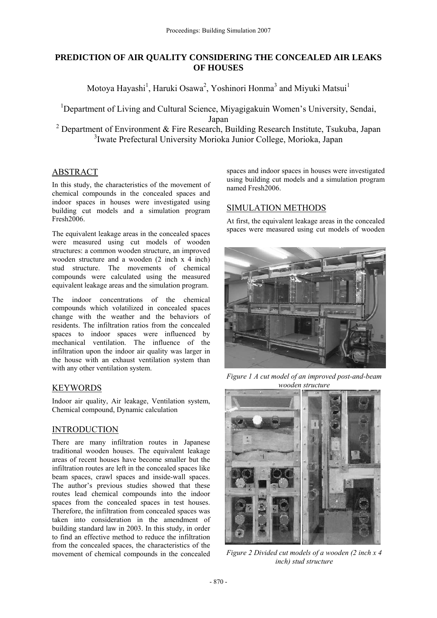## **PREDICTION OF AIR QUALITY CONSIDERING THE CONCEALED AIR LEAKS OF HOUSES**

Motoya Hayashi<sup>1</sup>, Haruki Osawa<sup>2</sup>, Yoshinori Honma<sup>3</sup> and Miyuki Matsui<sup>1</sup>

<sup>1</sup>Department of Living and Cultural Science, Miyagigakuin Women's University, Sendai, Japan

<sup>2</sup> Department of Environment & Fire Research, Building Research Institute, Tsukuba, Japan <sup>3</sup>Iwate Prefectural University Morioka Junior College, Morioka, Japan

## **ABSTRACT**

In this study, the characteristics of the movement of chemical compounds in the concealed spaces and indoor spaces in houses were investigated using building cut models and a simulation program Fresh2006.

The equivalent leakage areas in the concealed spaces were measured using cut models of wooden structures: a common wooden structure, an improved wooden structure and a wooden (2 inch x 4 inch) stud structure. The movements of chemical compounds were calculated using the measured equivalent leakage areas and the simulation program.

The indoor concentrations of the chemical compounds which volatilized in concealed spaces change with the weather and the behaviors of residents. The infiltration ratios from the concealed spaces to indoor spaces were influenced by mechanical ventilation. The influence of the infiltration upon the indoor air quality was larger in the house with an exhaust ventilation system than with any other ventilation system.

# **KEYWORDS**

Indoor air quality, Air leakage, Ventilation system, Chemical compound, Dynamic calculation

## INTRODUCTION

There are many infiltration routes in Japanese traditional wooden houses. The equivalent leakage areas of recent houses have become smaller but the infiltration routes are left in the concealed spaces like beam spaces, crawl spaces and inside-wall spaces. The author's previous studies showed that these routes lead chemical compounds into the indoor spaces from the concealed spaces in test houses. Therefore, the infiltration from concealed spaces was taken into consideration in the amendment of building standard law in 2003. In this study, in order to find an effective method to reduce the infiltration from the concealed spaces, the characteristics of the movement of chemical compounds in the concealed

spaces and indoor spaces in houses were investigated using building cut models and a simulation program named Fresh2006.

# SIMULATION METHODS

At first, the equivalent leakage areas in the concealed spaces were measured using cut models of wooden



*Figure 1 A cut model of an improved post-and-beam wooden structure* 



*Figure 2 Divided cut models of a wooden (2 inch x 4 inch) stud structure*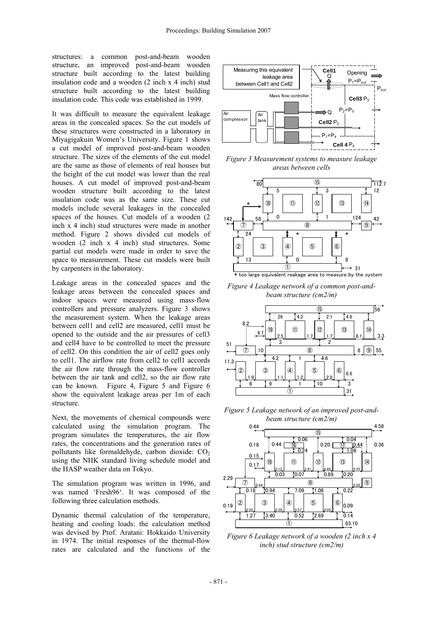structures: a common post-and-beam wooden structure, an improved post-and-beam wooden structure built according to the latest building insulation code and a wooden (2 inch x 4 inch) stud structure built according to the latest building insulation code. This code was established in 1999.

It was difficult to measure the equivalent leakage areas in the concealed spaces. So the cut models of these structures were constructed in a laboratory in Miyagigakuin Women's University. Figure 1 shows a cut model of improved post-and-beam wooden structure. The sizes of the elements of the cut model are the same as those of elements of real houses but the height of the cut model was lower than the real houses. A cut model of improved post-and-beam wooden structure built according to the latest insulation code was as the same size. These cut models include several leakages in the concealed spaces of the houses. Cut models of a wooden (2 inch x 4 inch) stud structures were made in another method. Figure 2 shows divided cut models of wooden (2 inch x 4 inch) stud structures. Some partial cut models were made in order to save the space to measurement. These cut models were built by carpenters in the laboratory.

Leakage areas in the concealed spaces and the leakage areas between the concealed spaces and indoor spaces were measured using mass-flow controllers and pressure analyzers. Figure 3 shows the measurement system. When the leakage areas between cell1 and cell2 are measured, cell1 must be opened to the outside and the air pressures of cell3 and cell4 have to be controlled to meet the pressure of cell2. On this condition the air of cell2 goes only to cell1. The airflow rate from cell2 to cell1 accords the air flow rate through the mass-flow controller between the air tank and cell2, so the air flow rate can be known. Figure 4, Figure 5 and Figure 6 show the equivalent leakage areas per 1m of each structure.

Next, the movements of chemical compounds were calculated using the simulation program. The program simulates the temperatures, the air flow rates, the concentrations and the generation rates of pollutants like formaldehyde, carbon dioxide:  $CO<sub>2</sub>$ using the NHK standard living schedule model and the HASP weather data on Tokyo.

The simulation program was written in 1996, and was named 'Fresh96'. It was composed of the following three calculation methods.

Dynamic thermal calculation of the temperature, heating and cooling loads: the calculation method was devised by Prof. Aratani: Hokkaido University in 1974. The initial responses of the thermal-flow rates are calculated and the functions of the



*Figure 3 Measurement systems to measure leakage areas between cells* 



*Figure 4 Leakage network of a common post-andbeam structure (cm2/m)* 



*Figure 5 Leakage network of an improved post-andbeam structure (cm2/m)* 



*Figure 6 Leakage network of a wooden (2 inch x 4 inch) stud structure (cm2/m)*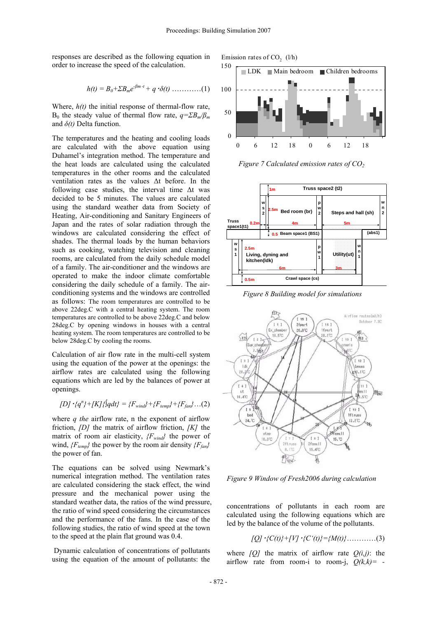responses are described as the following equation in order to increase the speed of the calculation.

$$
h(t) = B_0 + \Sigma B_m e^{-\beta m \cdot t} + q \cdot \delta(t) \dots \dots \dots \dots (1)
$$

Where,  $h(t)$  the initial response of thermal-flow rate, B<sub>0</sub> the steady value of thermal flow rate,  $q = \sum B_m / \beta_m$ and *δ(t)* Delta function.

The temperatures and the heating and cooling loads are calculated with the above equation using Duhamel's integration method. The temperature and the heat loads are calculated using the calculated temperatures in the other rooms and the calculated ventilation rates as the values Δt before. In the following case studies, the interval time Δt was decided to be 5 minutes. The values are calculated using the standard weather data from Society of Heating, Air-conditioning and Sanitary Engineers of Japan and the rates of solar radiation through the windows are calculated considering the effect of shades. The thermal loads by the human behaviors such as cooking, watching television and cleaning rooms, are calculated from the daily schedule model of a family. The air-conditioner and the windows are operated to make the indoor climate comfortable considering the daily schedule of a family. The airconditioning systems and the windows are controlled as follows: The room temperatures are controlled to be above 22deg.C with a central heating system. The room temperatures are controlled to be above 22deg.C and below 28deg.C by opening windows in houses with a central heating system. The room temperatures are controlled to be below 28deg.C by cooling the rooms.

Calculation of air flow rate in the multi-cell system using the equation of the power at the openings: the airflow rates are calculated using the following equations which are led by the balances of power at openings.

$$
[D] \cdot \{q^n\} + [K] \{[qdt\} = \{F_{wind}\} + \{F_{temp}\} + \{F_{fan}\} \dots (2)
$$

where *q the* airflow rate, n the exponent of airflow friction, *[D]* the matrix of airflow friction, *[K]* the matrix of room air elasticity, *{Fwind}* the power of wind,  ${F_{temp}}$  the power by the room air density  ${F_{fan}}$ the power of fan.

The equations can be solved using Newmark's numerical integration method. The ventilation rates are calculated considering the stack effect, the wind pressure and the mechanical power using the standard weather data, the ratios of the wind pressure, the ratio of wind speed considering the circumstances and the performance of the fans. In the case of the following studies, the ratio of wind speed at the town to the speed at the plain flat ground was 0.4.

 Dynamic calculation of concentrations of pollutants using the equation of the amount of pollutants: the





*Figure 7 Calculated emission rates of CO<sub>2</sub>* 



 *Figure 8 Building model for simulations* 



*Figure 9 Window of Fresh2006 during calculation* 

concentrations of pollutants in each room are calculated using the following equations which are led by the balance of the volume of the pollutants.

$$
[Q] \cdot \{C(t)\} + [V] \cdot \{C'(t)\} = \{M(t)\} \dots \dots \dots (3)
$$

where  $[O]$  the matrix of airflow rate  $O(i,j)$ : the airflow rate from room-i to room-j, *Q(k,k)= -*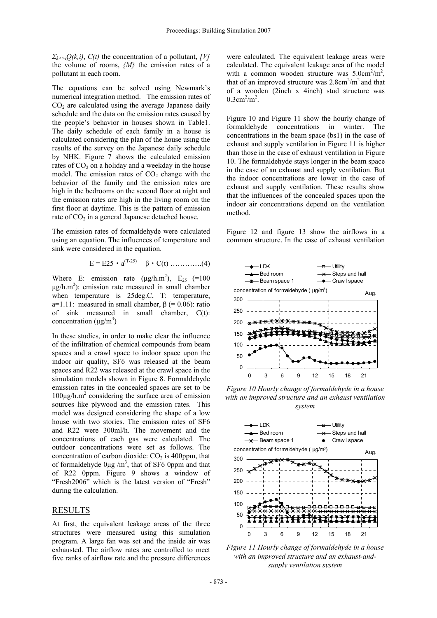*Σ*<sub>*k* $\langle$ *i*</sub> $Q$ (*k,i*), *C*(*t*) the concentration of a pollutant, *[V]* the volume of rooms, *{M}* the emission rates of a pollutant in each room.

The equations can be solved using Newmark's numerical integration method. The emission rates of  $CO<sub>2</sub>$  are calculated using the average Japanese daily schedule and the data on the emission rates caused by the people's behavior in houses shown in Table1. The daily schedule of each family in a house is calculated considering the plan of the house using the results of the survey on the Japanese daily schedule by NHK. Figure 7 shows the calculated emission rates of  $CO<sub>2</sub>$  on a holiday and a weekday in the house model. The emission rates of  $CO<sub>2</sub>$  change with the behavior of the family and the emission rates are high in the bedrooms on the second floor at night and the emission rates are high in the living room on the first floor at daytime. This is the pattern of emission rate of  $CO<sub>2</sub>$  in a general Japanese detached house.

The emission rates of formaldehyde were calculated using an equation. The influences of temperature and sink were considered in the equation.

$$
E = E25 \cdot a^{(T-25)} - \beta \cdot C(t) \dots (4)
$$

Where E: emission rate  $(\mu g/h.m^2)$ ,  $E_{25}$  (=100  $\mu$ g/h.m<sup>2</sup>): emission rate measured in small chamber when temperature is 25deg.C, T: temperature, a=1.11: measured in small chamber,  $\beta$  (= 0.06): ratio of sink measured in small chamber, C(t): concentration  $(\mu g/m^3)$ 

In these studies, in order to make clear the influence of the infiltration of chemical compounds from beam spaces and a crawl space to indoor space upon the indoor air quality, SF6 was released at the beam spaces and R22 was released at the crawl space in the simulation models shown in Figure 8. Formaldehyde emission rates in the concealed spaces are set to be 100μg/h.m2 considering the surface area of emission sources like plywood and the emission rates. This model was designed considering the shape of a low house with two stories. The emission rates of SF6 and R22 were 300ml/h. The movement and the concentrations of each gas were calculated. The outdoor concentrations were set as follows. The concentration of carbon dioxide:  $CO<sub>2</sub>$  is 400ppm, that of formaldehyde  $0\mu g/m^3$ , that of SF6 0ppm and that of R22 0ppm. Figure 9 shows a window of "Fresh2006" which is the latest version of "Fresh" during the calculation.

## **RESULTS**

At first, the equivalent leakage areas of the three structures were measured using this simulation program. A large fan was set and the inside air was exhausted. The airflow rates are controlled to meet five ranks of airflow rate and the pressure differences

were calculated. The equivalent leakage areas were calculated. The equivalent leakage area of the model with a common wooden structure was  $5.0 \text{cm}^2/\text{m}^2$ , that of an improved structure was  $2.8 \text{cm}^2/\text{m}^2$  and that of a wooden (2inch x 4inch) stud structure was  $0.3 \text{cm}^2/\text{m}^2$ .

Figure 10 and Figure 11 show the hourly change of formaldehyde concentrations in winter. The concentrations in the beam space (bs1) in the case of exhaust and supply ventilation in Figure 11 is higher than those in the case of exhaust ventilation in Figure 10. The formaldehyde stays longer in the beam space in the case of an exhaust and supply ventilation. But the indoor concentrations are lower in the case of exhaust and supply ventilation. These results show that the influences of the concealed spaces upon the indoor air concentrations depend on the ventilation method.

Figure 12 and figure 13 show the airflows in a common structure. In the case of exhaust ventilation



*Figure 10 Hourly change of formaldehyde in a house with an improved structure and an exhaust ventilation system* 



*Figure 11 Hourly change of formaldehyde in a house with an improved structure and an exhaust-andsupply ventilation system*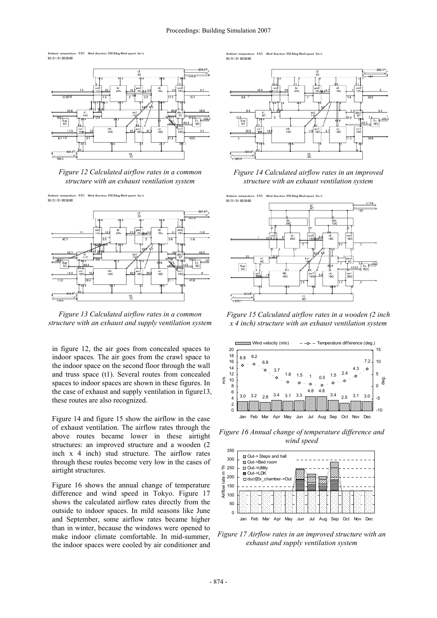ure: 5.5C Wind direction: 250.8deg Wind speed 95/01/01 00:30:00



*Figure 12 Calculated airflow rates in a common structure with an exhaust ventilation system* 

Ambient temperate<br>95/01/01 00:30:00 sture: 5.5C Wind direction: 250.8deg Wind speed: 3m/



*Figure 13 Calculated airflow rates in a common structure with an exhaust and supply ventilation system* 

in figure 12, the air goes from concealed spaces to indoor spaces. The air goes from the crawl space to the indoor space on the second floor through the wall and truss space (t1). Several routes from concealed spaces to indoor spaces are shown in these figures. In the case of exhaust and supply ventilation in figure13, these routes are also recognized.

Figure 14 and figure 15 show the airflow in the case of exhaust ventilation. The airflow rates through the above routes became lower in these airtight structures: an improved structure and a wooden (2 inch x 4 inch) stud structure. The airflow rates through these routes become very low in the cases of airtight structures.

Figure 16 shows the annual change of temperature difference and wind speed in Tokyo. Figure 17 shows the calculated airflow rates directly from the outside to indoor spaces. In mild seasons like June and September, some airflow rates became higher than in winter, because the windows were opened to make indoor climate comfortable. In mid-summer, the indoor spaces were cooled by air conditioner and

5.5C 95/01/01 00:30:00



*Figure 14 Calculated airflow rates in an improved structure with an exhaust ventilation system* 



*Figure 15 Calculated airflow rates in a wooden (2 inch x 4 inch) structure with an exhaust ventilation system* 



*Figure 16 Annual change of temperature difference and wind speed* 



*Figure 17 Airflow rates in an improved structure with an exhaust and supply ventilation system*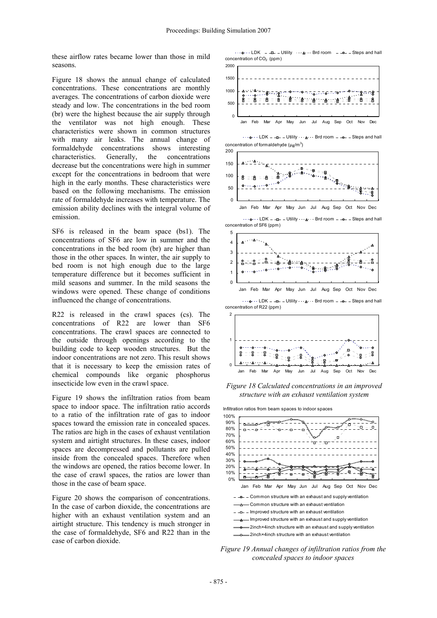these airflow rates became lower than those in mild seasons.

Figure 18 shows the annual change of calculated concentrations. These concentrations are monthly averages. The concentrations of carbon dioxide were steady and low. The concentrations in the bed room (br) were the highest because the air supply through the ventilator was not high enough. These characteristics were shown in common structures with many air leaks. The annual change of formaldehyde concentrations shows interesting characteristics. Generally, the concentrations decrease but the concentrations were high in summer except for the concentrations in bedroom that were high in the early months. These characteristics were based on the following mechanisms. The emission rate of formaldehyde increases with temperature. The emission ability declines with the integral volume of emission.

SF6 is released in the beam space (bs1). The concentrations of SF6 are low in summer and the concentrations in the bed room (br) are higher than those in the other spaces. In winter, the air supply to bed room is not high enough due to the large temperature difference but it becomes sufficient in mild seasons and summer. In the mild seasons the windows were opened. These change of conditions influenced the change of concentrations.

R22 is released in the crawl spaces (cs). The concentrations of R22 are lower than SF6 concentrations. The crawl spaces are connected to the outside through openings according to the building code to keep wooden structures. But the indoor concentrations are not zero. This result shows that it is necessary to keep the emission rates of chemical compounds like organic phosphorus insecticide low even in the crawl space.

Figure 19 shows the infiltration ratios from beam space to indoor space. The infiltration ratio accords to a ratio of the infiltration rate of gas to indoor spaces toward the emission rate in concealed spaces. The ratios are high in the cases of exhaust ventilation system and airtight structures. In these cases, indoor spaces are decompressed and pollutants are pulled inside from the concealed spaces. Therefore when the windows are opened, the ratios become lower. In the case of crawl spaces, the ratios are lower than those in the case of beam space.

Figure 20 shows the comparison of concentrations. In the case of carbon dioxide, the concentrations are higher with an exhaust ventilation system and an airtight structure. This tendency is much stronger in the case of formaldehyde, SF6 and R22 than in the case of carbon dioxide.

concentration of  $CO<sub>2</sub>$  (ppm)  $\cdots$   $\bullet$   $\cdots$  LDK  $-$  - $\bullet$  - Utility  $\cdots$   $\bullet$   $\cdots$  Brd room  $-$  - $\bullet$  - Steps and hall



*Figure 18 Calculated concentrations in an improved structure with an exhaust ventilation system* 

Infiltration ratios from beam spaces to indoor spaces



*Figure 19 Annual changes of infiltration ratios from the concealed spaces to indoor spaces*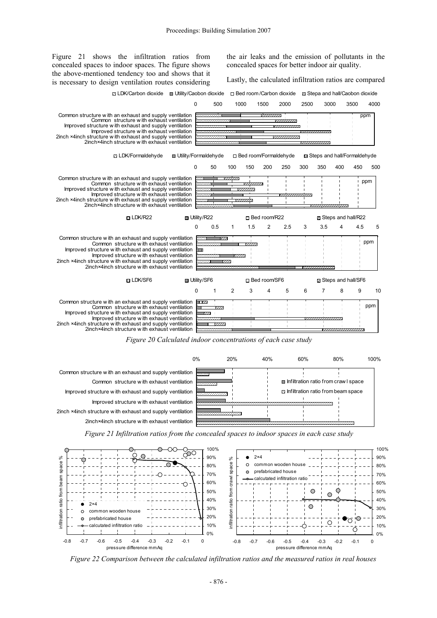Figure 21 shows the infiltration ratios from concealed spaces to indoor spaces. The figure shows the above-mentioned tendency too and shows that it is necessary to design ventilation routes considering

the air leaks and the emission of pollutants in the concealed spaces for better indoor air quality.

Lastly, the calculated infiltration ratios are compared



*Figure 20 Calculated indoor concentrations of each case study* 



*Figure 21 Infiltration ratios from the concealed spaces to indoor spaces in each case study* 



*Figure 22 Comparison between the calculated infiltration ratios and the measured ratios in real houses*